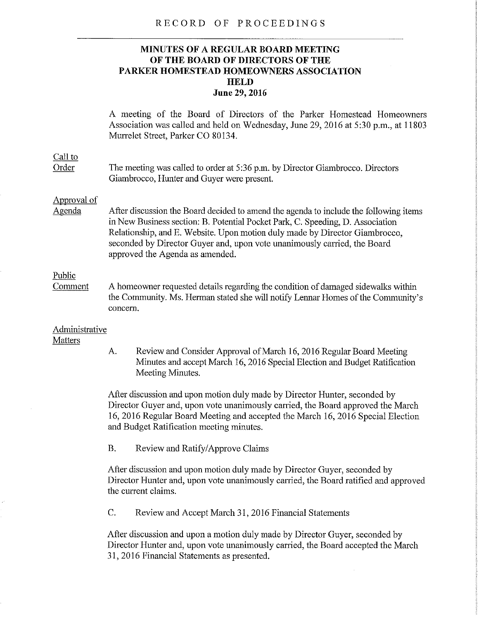#### RECORD OF PROCEEDINGS

# **MINUTES OF A REGULAR BOARD MEETING OF THE BOARD OF DIRECTORS OF THE PARKER HOMESTEAD HOMEOWNERS ASSOCIATION HELD June** 29, 2016

A meeting of the Board of Directors of the Parker Homestead Homeowners Association was called and held on Wednesday, June 29, 2016 at 5:30 p.m., at 11803 Munelet Street, Parker CO 80134.

# Call to

Order The meeting was called to order at *5:36* p.m. by Director Giambrocco. Directors Giambrocco, Hunter and Guyer were present.

## Approval of

Agenda After discussion the Board decided to amend the agenda to include the following items in New Business section: B. Potential Pocket Park, C. Speeding, D. Association Relationship, and E. Website. Upon motion duly made by Director Giambrocco, seconded by Director Guyer and, upon vote unanimously carried, the Board approved the Agenda as amended.

## Public

Comment A homeowner requested details regarding the condition of damaged sidewalks within the Community. Ms. Herman stated she will notify Lennar Homes of the Community's concern.

#### Administrative **Matters**

A. Review and Consider Approval of March 16, 2016 Regular Board Meeting Minutes and accept March 16, 2016 Special Election and Budget Ratification Meeting Minutes.

After discussion and upon motion duly made by Director Hunter, seconded by Director Guyer and, upon vote unanimously carried, the Board approved the March 16, 2016 Regular Board Meeting and accepted the March 16, 2016 Special Election and Budget Ratification meeting minutes.

B. Review and Ratify/Approve Claims

After discussion and upon motion duly made by Director Guyer, seconded by Director Hunter and, upon vote unanimously carried, the Board ratified and approved the current claims.

C. Review and Accept March 31, 2016 Financial Statements

After discussion and upon a motion duly made by Director Guyer, seconded by Director Hunter and, upon vote unanimously carried, the Board accepted the March 31, 20t6 Financial Statements as presented.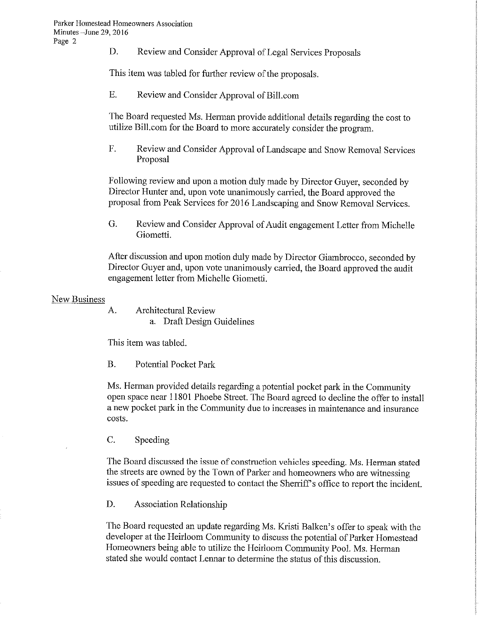D. Review and Consider Approval of Legal Services Proposals

This item was tabled for further review of the proposals.

E. Review and Consider Approval of Bill.com

The Board requested Ms. Herman provide additional details regarding the cost to utilize Bill.com for the Board to more accurately consider the program.

F. Review and Consider Approval of Landscape and Snow Removal Services Proposal

Following review and upon a motion duly made by Director Guyer, seconded by Director Hunter and, upon vote unanimously carried, the Board approved the proposal from Peak Services for 2016 Landscaping and Snow Removal Services.

G. Review and Consider Approval of Audit engagement Letter from Michelle Giometti.

After discussion and upon motion duly made by Director Giambrocco, seconded by Director Guyer and, upon vote unanimously carried, the Board approved the audit engagement letter from Michelle Giometti.

## New Business

A. Architectural Review a. Draft Design Guidelines

This item was tabled.

B. Potential Pocket Park

Ms. Herman provided details regarding a potential pocket park in the Community open space near 11801 Phoebe Street. The Board agreed to decline the offer to install a new pocket park in the Community due to increases in maintenance and insurance costs.

C. Speeding

The Board discussed the issue of construction vehicles speeding. Ms. Herman stated the streets are owned by the Town of Parker and homeowners who are witnessing issues of speeding are requested to contact the Sherriff's office to report the incident.

D. Association Relationship

The Board requested an update regarding Ms. Kristi Balken's offer to speak with the developer at the Heirloom Community to discuss the potential of Parker Homestead Homeowners being able to utilize the Heirloom Community Pool. Ms. Herman stated she would contact Lennar to determine the status of this discussion.